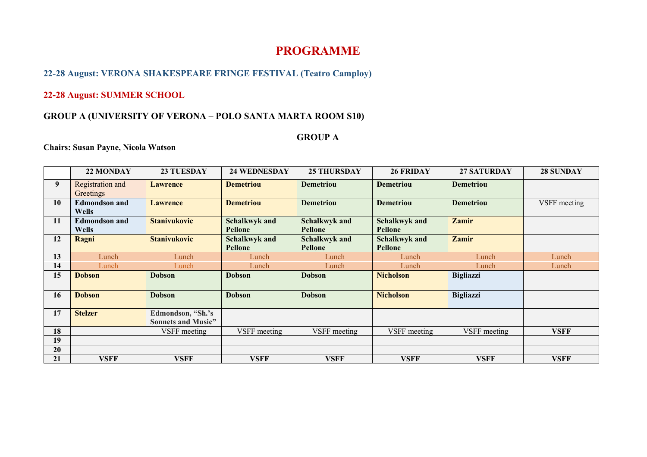# **PROGRAMME**

# **22-28 August: VERONA SHAKESPEARE FRINGE FESTIVAL (Teatro Camploy)**

#### **22-28 August: SUMMER SCHOOL**

#### **GROUP A (UNIVERSITY OF VERONA – POLO SANTA MARTA ROOM S10)**

#### **GROUP A**

#### **Chairs: Susan Payne, Nicola Watson**

|    | 22 MONDAY                     | <b>23 TUESDAY</b>                              | <b>24 WEDNESDAY</b>                    | <b>25 THURSDAY</b>              | <b>26 FRIDAY</b>                       | <b>27 SATURDAY</b> | <b>28 SUNDAY</b> |
|----|-------------------------------|------------------------------------------------|----------------------------------------|---------------------------------|----------------------------------------|--------------------|------------------|
| 9  | Registration and<br>Greetings | <b>Lawrence</b>                                | <b>Demetriou</b>                       | <b>Demetriou</b>                | <b>Demetriou</b>                       | <b>Demetriou</b>   |                  |
| 10 | <b>Edmondson and</b><br>Wells | <b>Lawrence</b>                                | <b>Demetriou</b>                       | <b>Demetriou</b>                | <b>Demetriou</b>                       | <b>Demetriou</b>   | VSFF meeting     |
| 11 | <b>Edmondson and</b><br>Wells | <b>Stanivukovic</b>                            | <b>Schalkwyk and</b><br>Pellone        | Schalkwyk and<br><b>Pellone</b> | <b>Schalkwyk and</b><br><b>Pellone</b> | <b>Zamir</b>       |                  |
| 12 | Ragni                         | <b>Stanivukovic</b>                            | <b>Schalkwyk and</b><br><b>Pellone</b> | <b>Schalkwyk and</b><br>Pellone | <b>Schalkwyk and</b><br>Pellone        | <b>Zamir</b>       |                  |
| 13 | Lunch                         | Lunch                                          | Lunch                                  | Lunch                           | Lunch                                  | Lunch              | Lunch            |
| 14 | Lunch                         | Lunch                                          | Lunch                                  | Lunch                           | Lunch                                  | Lunch              | Lunch            |
| 15 | <b>Dobson</b>                 | <b>Dobson</b>                                  | <b>Dobson</b>                          | <b>Dobson</b>                   | <b>Nicholson</b>                       | <b>Bigliazzi</b>   |                  |
| 16 | <b>Dobson</b>                 | <b>Dobson</b>                                  | <b>Dobson</b>                          | <b>Dobson</b>                   | <b>Nicholson</b>                       | <b>Bigliazzi</b>   |                  |
| 17 | <b>Stelzer</b>                | Edmondson, "Sh.'s<br><b>Sonnets and Music"</b> |                                        |                                 |                                        |                    |                  |
| 18 |                               | VSFF meeting                                   | VSFF meeting                           | VSFF meeting                    | VSFF meeting                           | VSFF meeting       | VSFF             |
| 19 |                               |                                                |                                        |                                 |                                        |                    |                  |
| 20 |                               |                                                |                                        |                                 |                                        |                    |                  |
| 21 | <b>VSFF</b>                   | <b>VSFF</b>                                    | <b>VSFF</b>                            | <b>VSFF</b>                     | <b>VSFF</b>                            | <b>VSFF</b>        | <b>VSFF</b>      |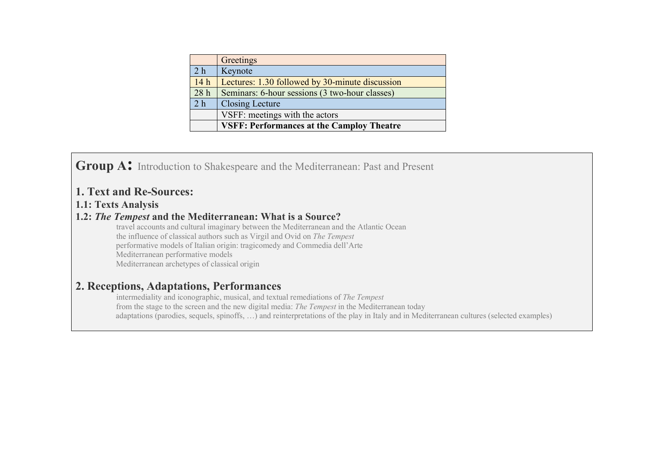|                 | Greetings                                        |  |  |  |  |
|-----------------|--------------------------------------------------|--|--|--|--|
| 2 <sub>h</sub>  | Keynote                                          |  |  |  |  |
| 14h             | Lectures: 1.30 followed by 30-minute discussion  |  |  |  |  |
| 28 <sub>h</sub> | Seminars: 6-hour sessions (3 two-hour classes)   |  |  |  |  |
| 2 <sub>h</sub>  | <b>Closing Lecture</b>                           |  |  |  |  |
|                 | VSFF: meetings with the actors                   |  |  |  |  |
|                 | <b>VSFF: Performances at the Camploy Theatre</b> |  |  |  |  |

**Group A:** Introduction to Shakespeare and the Mediterranean: Past and Present

# **1. Text and Re-Sources:**

## **1.1: Texts Analysis**

## **1.2:** *The Tempest* **and the Mediterranean: What is a Source?**

 travel accounts and cultural imaginary between the Mediterranean and the Atlantic Ocean the influence of classical authors such as Virgil and Ovid on *The Tempest* performative models of Italian origin: tragicomedy and Commedia dell'Arte Mediterranean performative models Mediterranean archetypes of classical origin

# **2. Receptions, Adaptations, Performances**

 intermediality and iconographic, musical, and textual remediations of *The Tempest* from the stage to the screen and the new digital media: *The Tempest* in the Mediterranean today adaptations (parodies, sequels, spinoffs, …) and reinterpretations of the play in Italy and in Mediterranean cultures (selected examples)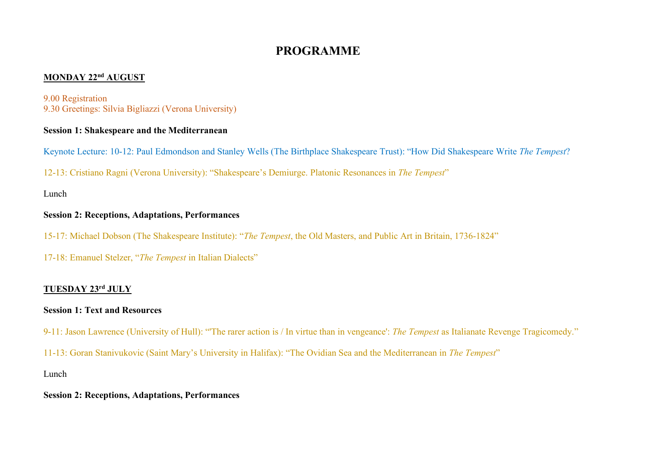# **PROGRAMME**

# **MONDAY 22nd AUGUST**

#### 9.00 Registration 9.30 Greetings: Silvia Bigliazzi (Verona University)

#### **Session 1: Shakespeare and the Mediterranean**

Keynote Lecture: 10-12: Paul Edmondson and Stanley Wells (The Birthplace Shakespeare Trust): "How Did Shakespeare Write *The Tempest*?

12-13: Cristiano Ragni (Verona University): "Shakespeare's Demiurge. Platonic Resonances in *The Tempest*"

Lunch

#### **Session 2: Receptions, Adaptations, Performances**

15-17: Michael Dobson (The Shakespeare Institute): "*The Tempest*, the Old Masters, and Public Art in Britain, 1736-1824"

17-18: Emanuel Stelzer, "*The Tempest* in Italian Dialects"

## **TUESDAY 23rd JULY**

#### **Session 1: Text and Resources**

- 9-11: Jason Lawrence (University of Hull): "'The rarer action is / In virtue than in vengeance': *The Tempest* as Italianate Revenge Tragicomedy."
- 11-13: Goran Stanivukovic (Saint Mary's University in Halifax): "The Ovidian Sea and the Mediterranean in *The Tempest*"

Lunch

#### **Session 2: Receptions, Adaptations, Performances**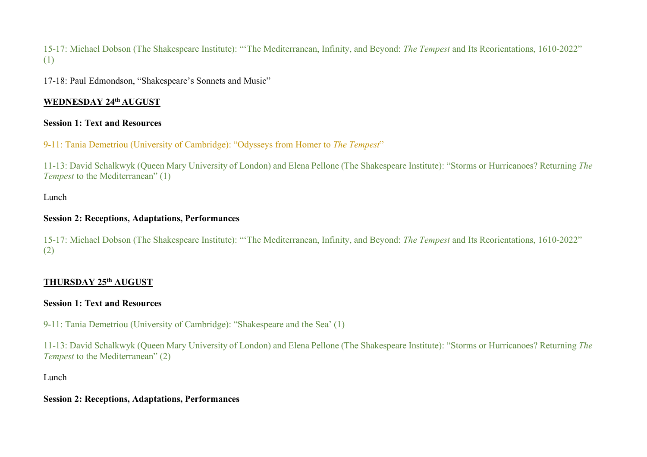15-17: Michael Dobson (The Shakespeare Institute): "'The Mediterranean, Infinity, and Beyond: *The Tempest* and Its Reorientations, 1610-2022" (1)

17-18: Paul Edmondson, "Shakespeare's Sonnets and Music"

# **WEDNESDAY 24th AUGUST**

#### **Session 1: Text and Resources**

9-11: Tania Demetriou (University of Cambridge): "Odysseys from Homer to *The Tempest*"

11-13: David Schalkwyk (Queen Mary University of London) and Elena Pellone (The Shakespeare Institute): "Storms or Hurricanoes? Returning *The Tempest* to the Mediterranean" (1)

Lunch

#### **Session 2: Receptions, Adaptations, Performances**

15-17: Michael Dobson (The Shakespeare Institute): "'The Mediterranean, Infinity, and Beyond: *The Tempest* and Its Reorientations, 1610-2022" (2)

# **THURSDAY 25th AUGUST**

## **Session 1: Text and Resources**

9-11: Tania Demetriou (University of Cambridge): "Shakespeare and the Sea' (1)

11-13: David Schalkwyk (Queen Mary University of London) and Elena Pellone (The Shakespeare Institute): "Storms or Hurricanoes? Returning *The Tempest* to the Mediterranean" (2)

Lunch

#### **Session 2: Receptions, Adaptations, Performances**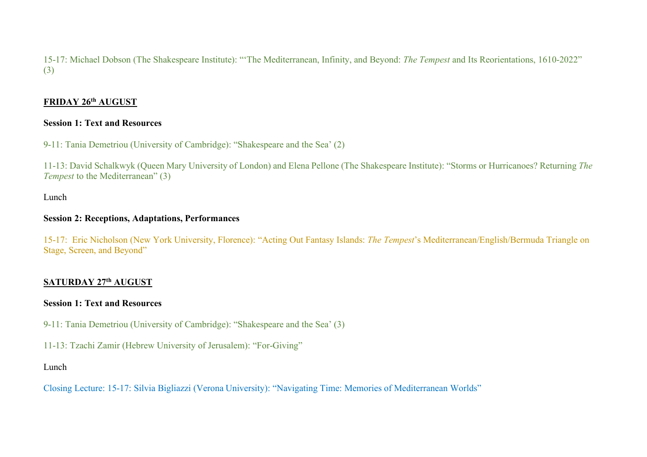15-17: Michael Dobson (The Shakespeare Institute): "'The Mediterranean, Infinity, and Beyond: *The Tempest* and Its Reorientations, 1610-2022" (3)

## **FRIDAY 26th AUGUST**

#### **Session 1: Text and Resources**

9-11: Tania Demetriou (University of Cambridge): "Shakespeare and the Sea' (2)

11-13: David Schalkwyk (Queen Mary University of London) and Elena Pellone (The Shakespeare Institute): "Storms or Hurricanoes? Returning *The Tempest* to the Mediterranean" (3)

## Lunch

#### **Session 2: Receptions, Adaptations, Performances**

15-17: Eric Nicholson (New York University, Florence): "Acting Out Fantasy Islands: *The Tempest*'s Mediterranean/English/Bermuda Triangle on Stage, Screen, and Beyond"

# **SATURDAY 27th AUGUST**

## **Session 1: Text and Resources**

9-11: Tania Demetriou (University of Cambridge): "Shakespeare and the Sea' (3)

11-13: Tzachi Zamir (Hebrew University of Jerusalem): "For-Giving"

## Lunch

Closing Lecture: 15-17: Silvia Bigliazzi (Verona University): "Navigating Time: Memories of Mediterranean Worlds"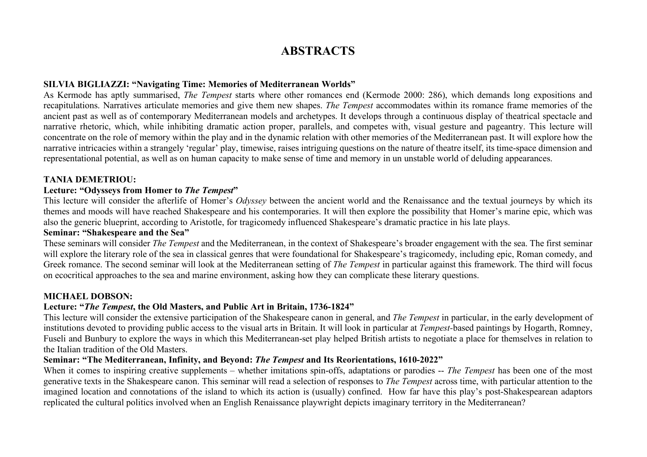# **ABSTRACTS**

#### **SILVIA BIGLIAZZI: "Navigating Time: Memories of Mediterranean Worlds"**

As Kermode has aptly summarised, *The Tempest* starts where other romances end (Kermode 2000: 286), which demands long expositions and recapitulations. Narratives articulate memories and give them new shapes. *The Tempest* accommodates within its romance frame memories of the ancient past as well as of contemporary Mediterranean models and archetypes. It develops through a continuous display of theatrical spectacle and narrative rhetoric, which, while inhibiting dramatic action proper, parallels, and competes with, visual gesture and pageantry. This lecture will concentrate on the role of memory within the play and in the dynamic relation with other memories of the Mediterranean past. It will explore how the narrative intricacies within a strangely 'regular' play, timewise, raises intriguing questions on the nature of theatre itself, its time-space dimension and representational potential, as well as on human capacity to make sense of time and memory in un unstable world of deluding appearances.

#### **TANIA DEMETRIOU:**

#### **Lecture: "Odysseys from Homer to** *The Tempest***"**

This lecture will consider the afterlife of Homer's *Odyssey* between the ancient world and the Renaissance and the textual journeys by which its themes and moods will have reached Shakespeare and his contemporaries. It will then explore the possibility that Homer's marine epic, which was also the generic blueprint, according to Aristotle, for tragicomedy influenced Shakespeare's dramatic practice in his late plays.

#### **Seminar: "Shakespeare and the Sea"**

These seminars will consider *The Tempest* and the Mediterranean, in the context of Shakespeare's broader engagement with the sea. The first seminar will explore the literary role of the sea in classical genres that were foundational for Shakespeare's tragicomedy, including epic, Roman comedy, and Greek romance. The second seminar will look at the Mediterranean setting of *The Tempest* in particular against this framework. The third will focus on ecocritical approaches to the sea and marine environment, asking how they can complicate these literary questions.

#### **MICHAEL DOBSON:**

#### **Lecture: "***The Tempest***, the Old Masters, and Public Art in Britain, 1736-1824"**

This lecture will consider the extensive participation of the Shakespeare canon in general, and *The Tempest* in particular, in the early development of institutions devoted to providing public access to the visual arts in Britain. It will look in particular at *Tempest-*based paintings by Hogarth, Romney, Fuseli and Bunbury to explore the ways in which this Mediterranean-set play helped British artists to negotiate a place for themselves in relation to the Italian tradition of the Old Masters.

#### **Seminar: "The Mediterranean, Infinity, and Beyond:** *The Tempest* **and Its Reorientations, 1610-2022"**

When it comes to inspiring creative supplements – whether imitations spin-offs, adaptations or parodies -- *The Tempest* has been one of the most generative texts in the Shakespeare canon. This seminar will read a selection of responses to *The Tempest* across time, with particular attention to the imagined location and connotations of the island to which its action is (usually) confined. How far have this play's post-Shakespearean adaptors replicated the cultural politics involved when an English Renaissance playwright depicts imaginary territory in the Mediterranean?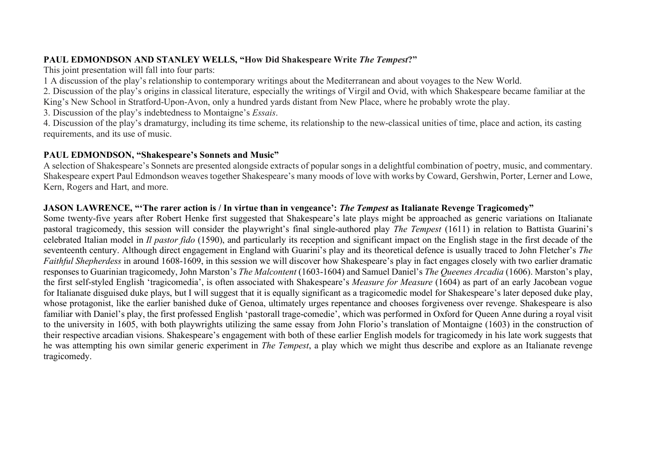#### **PAUL EDMONDSON AND STANLEY WELLS, "How Did Shakespeare Write** *The Tempest***?"**

This joint presentation will fall into four parts:

1 A discussion of the play's relationship to contemporary writings about the Mediterranean and about voyages to the New World.

2. Discussion of the play's origins in classical literature, especially the writings of Virgil and Ovid, with which Shakespeare became familiar at the King's New School in Stratford-Upon-Avon, only a hundred yards distant from New Place, where he probably wrote the play.

3. Discussion of the play's indebtedness to Montaigne's *Essais*.

4. Discussion of the play's dramaturgy, including its time scheme, its relationship to the new-classical unities of time, place and action, its casting requirements, and its use of music.

## **PAUL EDMONDSON, "Shakespeare's Sonnets and Music"**

A selection of Shakespeare's Sonnets are presented alongside extracts of popular songs in a delightful combination of poetry, music, and commentary. Shakespeare expert Paul Edmondson weaves together Shakespeare's many moods of love with works by Coward, Gershwin, Porter, Lerner and Lowe, Kern, Rogers and Hart, and more.

## **JASON LAWRENCE, "'The rarer action is / In virtue than in vengeance':** *The Tempest* **as Italianate Revenge Tragicomedy"**

Some twenty-five years after Robert Henke first suggested that Shakespeare's late plays might be approached as generic variations on Italianate pastoral tragicomedy, this session will consider the playwright's final single-authored play *The Tempest* (1611) in relation to Battista Guarini's celebrated Italian model in *Il pastor fido* (1590), and particularly its reception and significant impact on the English stage in the first decade of the seventeenth century. Although direct engagement in England with Guarini's play and its theoretical defence is usually traced to John Fletcher's *The Faithful Shepherdess* in around 1608-1609, in this session we will discover how Shakespeare's play in fact engages closely with two earlier dramatic responses to Guarinian tragicomedy, John Marston's *The Malcontent* (1603-1604) and Samuel Daniel's *The Queenes Arcadia* (1606). Marston's play, the first self-styled English 'tragicomedia', is often associated with Shakespeare's *Measure for Measure* (1604) as part of an early Jacobean vogue for Italianate disguised duke plays, but I will suggest that it is equally significant as a tragicomedic model for Shakespeare's later deposed duke play, whose protagonist, like the earlier banished duke of Genoa, ultimately urges repentance and chooses forgiveness over revenge. Shakespeare is also familiar with Daniel's play, the first professed English 'pastorall trage-comedie', which was performed in Oxford for Queen Anne during a royal visit to the university in 1605, with both playwrights utilizing the same essay from John Florio's translation of Montaigne (1603) in the construction of their respective arcadian visions. Shakespeare's engagement with both of these earlier English models for tragicomedy in his late work suggests that he was attempting his own similar generic experiment in *The Tempest*, a play which we might thus describe and explore as an Italianate revenge tragicomedy.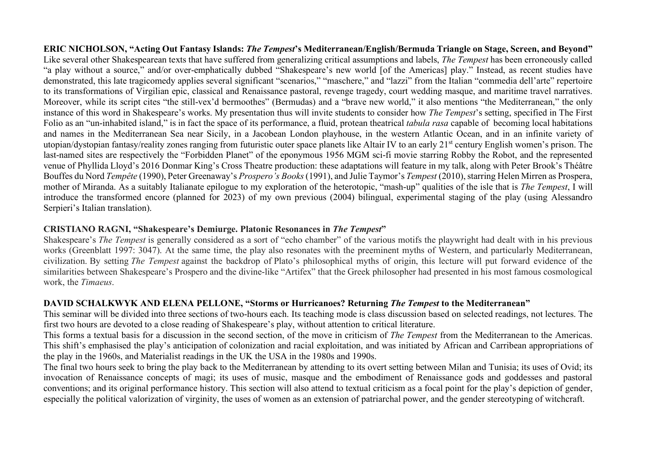**ERIC NICHOLSON, "Acting Out Fantasy Islands:** *The Tempest***'s Mediterranean/English/Bermuda Triangle on Stage, Screen, and Beyond"** Like several other Shakespearean texts that have suffered from generalizing critical assumptions and labels, *The Tempest* has been erroneously called "a play without a source," and/or over-emphatically dubbed "Shakespeare's new world [of the Americas] play." Instead, as recent studies have demonstrated, this late tragicomedy applies several significant "scenarios," "maschere," and "lazzi" from the Italian "commedia dell'arte" repertoire to its transformations of Virgilian epic, classical and Renaissance pastoral, revenge tragedy, court wedding masque, and maritime travel narratives. Moreover, while its script cites "the still-vex'd bermoothes" (Bermudas) and a "brave new world," it also mentions "the Mediterranean," the only instance of this word in Shakespeare's works. My presentation thus will invite students to consider how *The Tempest*'s setting, specified in The First Folio as an "un-inhabited island," is in fact the space of its performance, a fluid, protean theatrical *tabula rasa* capable of becoming local habitations and names in the Mediterranean Sea near Sicily, in a Jacobean London playhouse, in the western Atlantic Ocean, and in an infinite variety of utopian/dystopian fantasy/reality zones ranging from futuristic outer space planets like Altair IV to an early 21<sup>st</sup> century English women's prison. The last-named sites are respectively the "Forbidden Planet" of the eponymous 1956 MGM sci-fi movie starring Robby the Robot, and the represented venue of Phyllida Lloyd's 2016 Donmar King's Cross Theatre production: these adaptations will feature in my talk, along with Peter Brook's Théâtre Bouffes du Nord *Tempête* (1990), Peter Greenaway's *Prospero's Books* (1991), and Julie Taymor's *Tempest* (2010), starring Helen Mirren as Prospera, mother of Miranda. As a suitably Italianate epilogue to my exploration of the heterotopic, "mash-up" qualities of the isle that is *The Tempest*, I will introduce the transformed encore (planned for 2023) of my own previous (2004) bilingual, experimental staging of the play (using Alessandro Serpieri's Italian translation).

#### **CRISTIANO RAGNI, "Shakespeare's Demiurge. Platonic Resonances in** *The Tempest***"**

Shakespeare's *The Tempest* is generally considered as a sort of "echo chamber" of the various motifs the playwright had dealt with in his previous works (Greenblatt 1997: 3047). At the same time, the play also resonates with the preeminent myths of Western, and particularly Mediterranean, civilization. By setting *The Tempest* against the backdrop of Plato's philosophical myths of origin, this lecture will put forward evidence of the similarities between Shakespeare's Prospero and the divine-like "Artifex" that the Greek philosopher had presented in his most famous cosmological work, the *Timaeus*.

#### **DAVID SCHALKWYK AND ELENA PELLONE, "Storms or Hurricanoes? Returning** *The Tempest* **to the Mediterranean"**

This seminar will be divided into three sections of two-hours each. Its teaching mode is class discussion based on selected readings, not lectures. The first two hours are devoted to a close reading of Shakespeare's play, without attention to critical literature.

This forms a textual basis for a discussion in the second section, of the move in criticism of *The Tempest* from the Mediterranean to the Americas. This shift's emphasised the play's anticipation of colonization and racial exploitation, and was initiated by African and Carribean appropriations of the play in the 1960s, and Materialist readings in the UK the USA in the 1980s and 1990s.

The final two hours seek to bring the play back to the Mediterranean by attending to its overt setting between Milan and Tunisia; its uses of Ovid; its invocation of Renaissance concepts of magi; its uses of music, masque and the embodiment of Renaissance gods and goddesses and pastoral conventions; and its original performance history. This section will also attend to textual criticism as a focal point for the play's depiction of gender, especially the political valorization of virginity, the uses of women as an extension of patriarchal power, and the gender stereotyping of witchcraft.